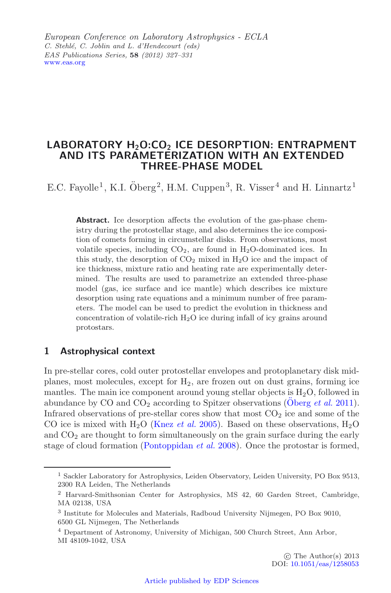European Conference on Laboratory Astrophysics - ECLA *C. Stehlé, C. Joblin and L. d'Hendecourt (eds) EAS Publications Series,* **58** *(2012) 327–331* [www.eas.org](http://www.eas.org)

# LABORATORY H<sub>2</sub>O:CO<sub>2</sub> ICE DESORPTION: ENTRAPMENT **AND ITS PARAMETERIZATION WITH AN EXTENDED THREE-PHASE MODEL**

E.C. Fayolle<sup>1</sup>, K.I.  $\ddot{\text{O}}$ berg<sup>2</sup>, H.M. Cuppen<sup>3</sup>, R. Visser<sup>4</sup> and H. Linnartz<sup>1</sup>

**Abstract.** Ice desorption affects the evolution of the gas-phase chemistry during the protostellar stage, and also determines the ice composition of comets forming in circumstellar disks. From observations, most volatile species, including  $CO<sub>2</sub>$ , are found in H<sub>2</sub>O-dominated ices. In this study, the desorption of  $CO<sub>2</sub>$  mixed in  $H<sub>2</sub>O$  ice and the impact of ice thickness, mixture ratio and heating rate are experimentally determined. The results are used to parametrize an extended three-phase model (gas, ice surface and ice mantle) which describes ice mixture desorption using rate equations and a minimum number of free parameters. The model can be used to predict the evolution in thickness and concentration of volatile-rich  $H_2O$  ice during infall of icy grains around protostars.

# **1 Astrophysical context**

In pre-stellar cores, cold outer protostellar envelopes and protoplanetary disk midplanes, most molecules, except for  $H_2$ , are frozen out on dust grains, forming ice mantles. The main ice component around young stellar objects is  $H_2O$ , followed in abundance by CO and  $CO<sub>2</sub>$  according to Spitzer observations [\(Oberg](#page-4-0) *et al.* [2011\)](#page-4-0). Infrared observations of pre-stellar cores show that most  $CO<sub>2</sub>$  ice and some of the CO ice is mixed with  $H_2O$  [\(Knez](#page-4-1) *et al.* [2005](#page-4-1)). Based on these observations,  $H_2O$ and  $CO<sub>2</sub>$  are thought to form simultaneously on the grain surface during the early stage of cloud formation [\(Pontoppidan](#page-4-2) *et al.* [2008](#page-4-2)). Once the protostar is formed,

<sup>1</sup> Sackler Laboratory for Astrophysics, Leiden Observatory, Leiden University, PO Box 9513, 2300 RA Leiden, The Netherlands

<sup>2</sup> Harvard-Smithsonian Center for Astrophysics, MS 42, 60 Garden Street, Cambridge, MA 02138, USA

<sup>3</sup> Institute for Molecules and Materials, Radboud University Nijmegen, PO Box 9010, 6500 GL Nijmegen, The Netherlands

<sup>4</sup> Department of Astronomy, University of Michigan, 500 Church Street, Ann Arbor, MI 48109-1042, USA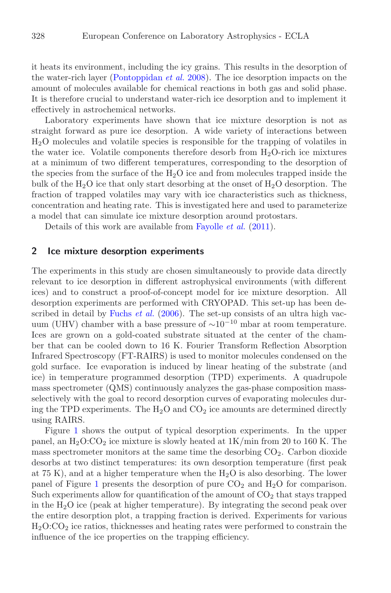it heats its environment, including the icy grains. This results in the desorption of the water-rich layer [\(Pontoppidan](#page-4-2) *et al.* [2008](#page-4-2)). The ice desorption impacts on the amount of molecules available for chemical reactions in both gas and solid phase. It is therefore crucial to understand water-rich ice desorption and to implement it effectively in astrochemical networks.

Laboratory experiments have shown that ice mixture desorption is not as straight forward as pure ice desorption. A wide variety of interactions between H2O molecules and volatile species is responsible for the trapping of volatiles in the water ice. Volatile components therefore desorb from  $H_2O$ -rich ice mixtures at a minimum of two different temperatures, corresponding to the desorption of the species from the surface of the  $H_2O$  ice and from molecules trapped inside the bulk of the  $H_2O$  ice that only start desorbing at the onset of  $H_2O$  desorption. The fraction of trapped volatiles may vary with ice characteristics such as thickness, concentration and heating rate. This is investigated here and used to parameterize a model that can simulate ice mixture desorption around protostars.

Details of this work are available from [Fayolle](#page-4-3) *et al.* [\(2011\)](#page-4-3).

## **2 Ice mixture desorption experiments**

The experiments in this study are chosen simultaneously to provide data directly relevant to ice desorption in different astrophysical environments (with different ices) and to construct a proof-of-concept model for ice mixture desorption. All desorption experiments are performed with CRYOPAD. This set-up has been de-scribed in detail by [Fuchs](#page-4-4) *et al.* [\(2006](#page-4-4)). The set-up consists of an ultra high vacuum (UHV) chamber with a base pressure of <sup>∼</sup>10*−*<sup>10</sup> mbar at room temperature. Ices are grown on a gold-coated substrate situated at the center of the chamber that can be cooled down to 16 K. Fourier Transform Reflection Absorption Infrared Spectroscopy (FT-RAIRS) is used to monitor molecules condensed on the gold surface. Ice evaporation is induced by linear heating of the substrate (and ice) in temperature programmed desorption (TPD) experiments. A quadrupole mass spectrometer (QMS) continuously analyzes the gas-phase composition massselectively with the goal to record desorption curves of evaporating molecules during the TPD experiments. The  $H_2O$  and  $CO_2$  ice amounts are determined directly using RAIRS.

Figure [1](#page-2-0) shows the output of typical desorption experiments. In the upper panel, an  $H_2O:CO_2$  ice mixture is slowly heated at  $1K/min$  from 20 to 160 K. The mass spectrometer monitors at the same time the desorbing  $CO<sub>2</sub>$ . Carbon dioxide desorbs at two distinct temperatures: its own desorption temperature (first peak at 75 K), and at a higher temperature when the  $H_2O$  is also desorbing. The lower panel of Figure [1](#page-2-0) presents the desorption of pure  $CO<sub>2</sub>$  and  $H<sub>2</sub>O$  for comparison. Such experiments allow for quantification of the amount of  $CO<sub>2</sub>$  that stays trapped in the  $H_2O$  ice (peak at higher temperature). By integrating the second peak over the entire desorption plot, a trapping fraction is derived. Experiments for various  $H<sub>2</sub>O:CO<sub>2</sub>$  ice ratios, thicknesses and heating rates were performed to constrain the influence of the ice properties on the trapping efficiency.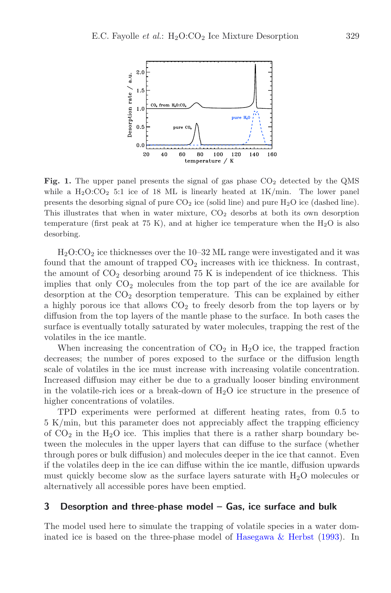<span id="page-2-0"></span>

**Fig. 1.** The upper panel presents the signal of gas phase  $CO<sub>2</sub>$  detected by the QMS while a  $H_2O:CO_2$  5:1 ice of 18 ML is linearly heated at  $1K/min$ . The lower panel presents the desorbing signal of pure  $CO<sub>2</sub>$  ice (solid line) and pure  $H<sub>2</sub>O$  ice (dashed line). This illustrates that when in water mixture, CO<sup>2</sup> desorbs at both its own desorption temperature (first peak at 75 K), and at higher ice temperature when the  $H_2O$  is also desorbing.

 $H<sub>2</sub>O:CO<sub>2</sub>$  ice thicknesses over the 10–32 ML range were investigated and it was found that the amount of trapped  $CO<sub>2</sub>$  increases with ice thickness. In contrast, the amount of  $CO<sub>2</sub>$  desorbing around 75 K is independent of ice thickness. This implies that only  $CO<sub>2</sub>$  molecules from the top part of the ice are available for desorption at the  $CO<sub>2</sub>$  desorption temperature. This can be explained by either a highly porous ice that allows  $CO<sub>2</sub>$  to freely desorb from the top layers or by diffusion from the top layers of the mantle phase to the surface. In both cases the surface is eventually totally saturated by water molecules, trapping the rest of the volatiles in the ice mantle.

When increasing the concentration of  $CO<sub>2</sub>$  in H<sub>2</sub>O ice, the trapped fraction decreases; the number of pores exposed to the surface or the diffusion length scale of volatiles in the ice must increase with increasing volatile concentration. Increased diffusion may either be due to a gradually looser binding environment in the volatile-rich ices or a break-down of  $H_2O$  ice structure in the presence of higher concentrations of volatiles.

TPD experiments were performed at different heating rates, from 0.5 to 5 K/min, but this parameter does not appreciably affect the trapping efficiency of  $CO<sub>2</sub>$  in the H<sub>2</sub>O ice. This implies that there is a rather sharp boundary between the molecules in the upper layers that can diffuse to the surface (whether through pores or bulk diffusion) and molecules deeper in the ice that cannot. Even if the volatiles deep in the ice can diffuse within the ice mantle, diffusion upwards must quickly become slow as the surface layers saturate with  $H_2O$  molecules or alternatively all accessible pores have been emptied.

### **3 Desorption and three-phase model – Gas, ice surface and bulk**

The model used here to simulate the trapping of volatile species in a water dominated ice is based on the three-phase model of [Hasegawa & Herbst](#page-4-5) [\(1993](#page-4-5)). In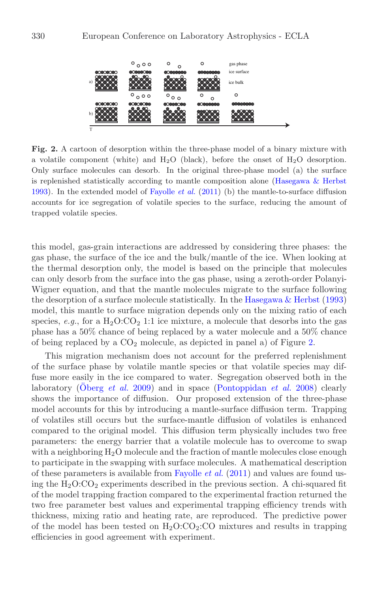<span id="page-3-0"></span>

**Fig. 2.** A cartoon of desorption within the three-phase model of a binary mixture with a volatile component (white) and  $H_2O$  (black), before the onset of  $H_2O$  desorption. Only surface molecules can desorb. In the original three-phase model (a) the surface is replenished statistically according to mantle composition alone [\(Hasegawa & Herbst](#page-4-5) [1993\)](#page-4-5). In the extended model of [Fayolle](#page-4-3) *et al.* [\(2011\)](#page-4-3) (b) the mantle-to-surface diffusion accounts for ice segregation of volatile species to the surface, reducing the amount of trapped volatile species.

this model, gas-grain interactions are addressed by considering three phases: the gas phase, the surface of the ice and the bulk/mantle of the ice. When looking at the thermal desorption only, the model is based on the principle that molecules can only desorb from the surface into the gas phase, using a zeroth-order Polanyi-Wigner equation, and that the mantle molecules migrate to the surface following the desorption of a surface molecule statistically. In the Hasegawa  $\&$  Herbst [\(1993](#page-4-5)) model, this mantle to surface migration depends only on the mixing ratio of each species, *e.g.*, for a  $H_2O:CO_2$  1:1 ice mixture, a molecule that desorbs into the gas phase has a 50% chance of being replaced by a water molecule and a 50% chance of being replaced by a  $CO<sub>2</sub>$  molecule, as depicted in panel a) of Figure [2.](#page-3-0)

This migration mechanism does not account for the preferred replenishment of the surface phase by volatile mantle species or that volatile species may diffuse more easily in the ice compared to water. Segregation observed both in the laboratory [\(Oberg](#page-4-6) *et al.* [2009\)](#page-4-6) and in space [\(Pontoppidan](#page-4-2) *et al.* [2008\)](#page-4-2) clearly shows the importance of diffusion. Our proposed extension of the three-phase model accounts for this by introducing a mantle-surface diffusion term. Trapping of volatiles still occurs but the surface-mantle diffusion of volatiles is enhanced compared to the original model. This diffusion term physically includes two free parameters: the energy barrier that a volatile molecule has to overcome to swap with a neighboring  $H_2O$  molecule and the fraction of mantle molecules close enough to participate in the swapping with surface molecules. A mathematical description of these parameters is available from [Fayolle](#page-4-3) *et al.* [\(2011](#page-4-3)) and values are found using the  $H_2O:CO_2$  experiments described in the previous section. A chi-squared fit of the model trapping fraction compared to the experimental fraction returned the two free parameter best values and experimental trapping efficiency trends with thickness, mixing ratio and heating rate, are reproduced. The predictive power of the model has been tested on  $H_2O:CO_2:CO$  mixtures and results in trapping efficiencies in good agreement with experiment.